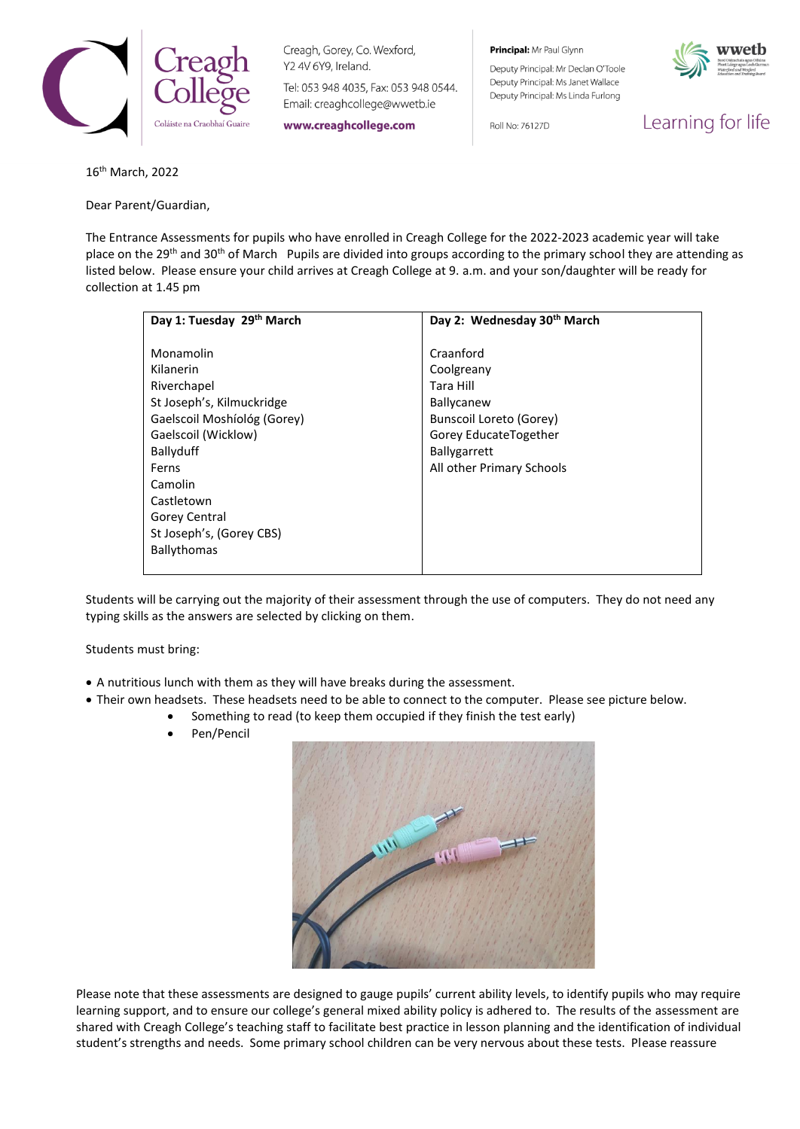

Creagh, Gorey, Co. Wexford, Y2 4V 6Y9, Ireland.

Tel: 053 948 4035, Fax: 053 948 0544. Email: creaghcollege@wwetb.ie

www.creaghcollege.com

Principal: Mr Paul Glynn

Roll No: 76127D

Deputy Principal: Mr Declan O'Toole Deputy Principal: Ms Janet Wallace Deputy Principal: Ms Linda Furlong



Learning for life

16th March, 2022

Dear Parent/Guardian,

The Entrance Assessments for pupils who have enrolled in Creagh College for the 2022-2023 academic year will take place on the 29<sup>th</sup> and 30<sup>th</sup> of March Pupils are divided into groups according to the primary school they are attending as listed below. Please ensure your child arrives at Creagh College at 9. a.m. and your son/daughter will be ready for collection at 1.45 pm

| Day 1: Tuesday 29th March   | Day 2: Wednesday 30 <sup>th</sup> March |
|-----------------------------|-----------------------------------------|
|                             |                                         |
| Monamolin                   | Craanford                               |
| Kilanerin                   | Coolgreany                              |
| Riverchapel                 | Tara Hill                               |
| St Joseph's, Kilmuckridge   | <b>Ballycanew</b>                       |
| Gaelscoil Moshíológ (Gorey) | <b>Bunscoil Loreto (Gorey)</b>          |
| Gaelscoil (Wicklow)         | Gorey EducateTogether                   |
| Ballyduff                   | <b>Ballygarrett</b>                     |
| Ferns                       | All other Primary Schools               |
| Camolin                     |                                         |
| Castletown                  |                                         |
| Gorey Central               |                                         |
| St Joseph's, (Gorey CBS)    |                                         |
| Ballythomas                 |                                         |
|                             |                                         |

Students will be carrying out the majority of their assessment through the use of computers. They do not need any typing skills as the answers are selected by clicking on them.

Students must bring:

- A nutritious lunch with them as they will have breaks during the assessment.
- Their own headsets. These headsets need to be able to connect to the computer. Please see picture below.
	- Something to read (to keep them occupied if they finish the test early)
	- Pen/Pencil



Please note that these assessments are designed to gauge pupils' current ability levels, to identify pupils who may require learning support, and to ensure our college's general mixed ability policy is adhered to. The results of the assessment are shared with Creagh College's teaching staff to facilitate best practice in lesson planning and the identification of individual student's strengths and needs. Some primary school children can be very nervous about these tests. Please reassure